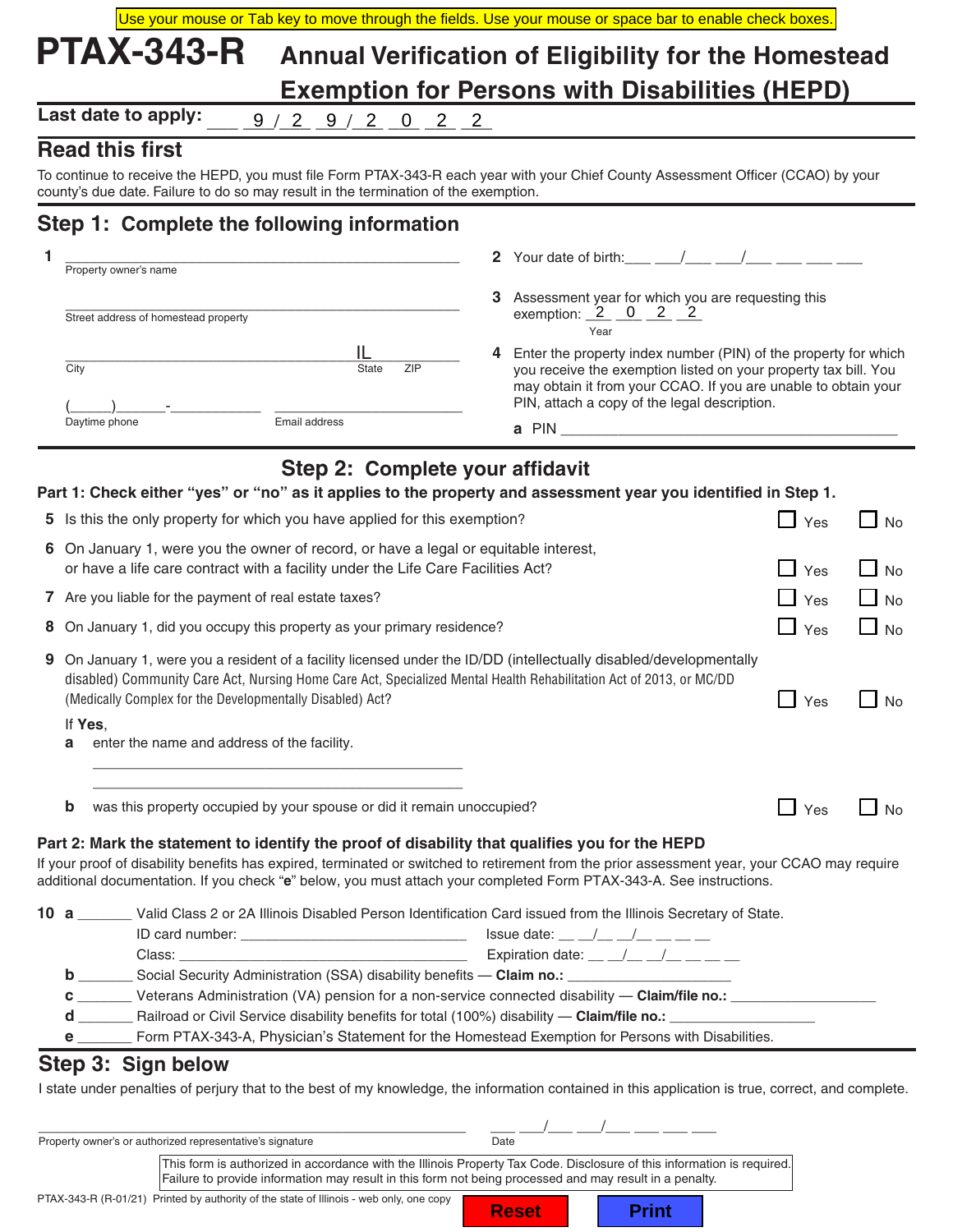|                                                                                |                                                                                                                                                                          |                                 |     | Use your mouse or Tab key to move through the fields. Use your mouse or space bar to enable check boxes.                                                                                                                                                                                                                                                                                                                                                                                                                               |                       |           |  |
|--------------------------------------------------------------------------------|--------------------------------------------------------------------------------------------------------------------------------------------------------------------------|---------------------------------|-----|----------------------------------------------------------------------------------------------------------------------------------------------------------------------------------------------------------------------------------------------------------------------------------------------------------------------------------------------------------------------------------------------------------------------------------------------------------------------------------------------------------------------------------------|-----------------------|-----------|--|
|                                                                                | <b>PTAX-343-R</b>                                                                                                                                                        |                                 |     | <b>Annual Verification of Eligibility for the Homestead</b>                                                                                                                                                                                                                                                                                                                                                                                                                                                                            |                       |           |  |
|                                                                                |                                                                                                                                                                          |                                 |     | <b>Exemption for Persons with Disabilities (HEPD)</b>                                                                                                                                                                                                                                                                                                                                                                                                                                                                                  |                       |           |  |
| Last date to apply:<br>9<br>$2 \quad 9 \quad / \quad 2$<br>$0 \quad 2 \quad 2$ |                                                                                                                                                                          |                                 |     |                                                                                                                                                                                                                                                                                                                                                                                                                                                                                                                                        |                       |           |  |
|                                                                                | <b>Read this first</b>                                                                                                                                                   |                                 |     |                                                                                                                                                                                                                                                                                                                                                                                                                                                                                                                                        |                       |           |  |
|                                                                                | county's due date. Failure to do so may result in the termination of the exemption.                                                                                      |                                 |     | To continue to receive the HEPD, you must file Form PTAX-343-R each year with your Chief County Assessment Officer (CCAO) by your                                                                                                                                                                                                                                                                                                                                                                                                      |                       |           |  |
|                                                                                | Step 1: Complete the following information                                                                                                                               |                                 |     |                                                                                                                                                                                                                                                                                                                                                                                                                                                                                                                                        |                       |           |  |
|                                                                                | Property owner's name                                                                                                                                                    |                                 |     | 2 Your date of birth: $\frac{1}{2}$ /                                                                                                                                                                                                                                                                                                                                                                                                                                                                                                  |                       |           |  |
|                                                                                |                                                                                                                                                                          |                                 |     |                                                                                                                                                                                                                                                                                                                                                                                                                                                                                                                                        |                       |           |  |
|                                                                                | Street address of homestead property                                                                                                                                     |                                 |     | 3 Assessment year for which you are requesting this<br>exemption: $2 \quad 0 \quad 2 \quad 2$<br>Year                                                                                                                                                                                                                                                                                                                                                                                                                                  |                       |           |  |
|                                                                                |                                                                                                                                                                          | IL                              |     | 4 Enter the property index number (PIN) of the property for which                                                                                                                                                                                                                                                                                                                                                                                                                                                                      |                       |           |  |
| City                                                                           |                                                                                                                                                                          | <b>State</b>                    | ZIP | you receive the exemption listed on your property tax bill. You<br>may obtain it from your CCAO. If you are unable to obtain your<br>PIN, attach a copy of the legal description.                                                                                                                                                                                                                                                                                                                                                      |                       |           |  |
|                                                                                | Daytime phone                                                                                                                                                            | Email address                   |     |                                                                                                                                                                                                                                                                                                                                                                                                                                                                                                                                        |                       |           |  |
|                                                                                |                                                                                                                                                                          |                                 |     |                                                                                                                                                                                                                                                                                                                                                                                                                                                                                                                                        |                       |           |  |
|                                                                                |                                                                                                                                                                          | Step 2: Complete your affidavit |     |                                                                                                                                                                                                                                                                                                                                                                                                                                                                                                                                        |                       |           |  |
|                                                                                |                                                                                                                                                                          |                                 |     | Part 1: Check either "yes" or "no" as it applies to the property and assessment year you identified in Step 1.                                                                                                                                                                                                                                                                                                                                                                                                                         |                       |           |  |
|                                                                                | 5 Is this the only property for which you have applied for this exemption?                                                                                               |                                 |     |                                                                                                                                                                                                                                                                                                                                                                                                                                                                                                                                        | $\Box$ Yes            | $\Box$ No |  |
|                                                                                | 6 On January 1, were you the owner of record, or have a legal or equitable interest,<br>or have a life care contract with a facility under the Life Care Facilities Act? |                                 |     |                                                                                                                                                                                                                                                                                                                                                                                                                                                                                                                                        | $\Box$ Yes            | $\Box$ No |  |
|                                                                                | 7 Are you liable for the payment of real estate taxes?                                                                                                                   |                                 |     |                                                                                                                                                                                                                                                                                                                                                                                                                                                                                                                                        | $\blacksquare$<br>Yes | $\Box$ No |  |
| 8 On January 1, did you occupy this property as your primary residence?        |                                                                                                                                                                          |                                 |     | $\Box$ Yes                                                                                                                                                                                                                                                                                                                                                                                                                                                                                                                             | $\Box$ No             |           |  |
|                                                                                | (Medically Complex for the Developmentally Disabled) Act?                                                                                                                |                                 |     | 9 On January 1, were you a resident of a facility licensed under the ID/DD (intellectually disabled/developmentally<br>disabled) Community Care Act, Nursing Home Care Act, Specialized Mental Health Rehabilitation Act of 2013, or MC/DD                                                                                                                                                                                                                                                                                             | $\Box$ Yes            | $\Box$ No |  |
| If Yes.<br>a                                                                   | enter the name and address of the facility.                                                                                                                              |                                 |     |                                                                                                                                                                                                                                                                                                                                                                                                                                                                                                                                        |                       |           |  |
| b                                                                              | was this property occupied by your spouse or did it remain unoccupied?                                                                                                   |                                 |     |                                                                                                                                                                                                                                                                                                                                                                                                                                                                                                                                        | $\Box$ Yes            | $\Box$ No |  |
|                                                                                |                                                                                                                                                                          |                                 |     | Part 2: Mark the statement to identify the proof of disability that qualifies you for the HEPD                                                                                                                                                                                                                                                                                                                                                                                                                                         |                       |           |  |
|                                                                                |                                                                                                                                                                          |                                 |     | If your proof of disability benefits has expired, terminated or switched to retirement from the prior assessment year, your CCAO may require<br>additional documentation. If you check "e" below, you must attach your completed Form PTAX-343-A. See instructions.                                                                                                                                                                                                                                                                    |                       |           |  |
|                                                                                |                                                                                                                                                                          |                                 |     | 10 a _______ Valid Class 2 or 2A Illinois Disabled Person Identification Card issued from the Illinois Secretary of State.                                                                                                                                                                                                                                                                                                                                                                                                             |                       |           |  |
|                                                                                |                                                                                                                                                                          |                                 |     |                                                                                                                                                                                                                                                                                                                                                                                                                                                                                                                                        |                       |           |  |
|                                                                                |                                                                                                                                                                          |                                 |     |                                                                                                                                                                                                                                                                                                                                                                                                                                                                                                                                        |                       |           |  |
|                                                                                |                                                                                                                                                                          |                                 |     |                                                                                                                                                                                                                                                                                                                                                                                                                                                                                                                                        |                       |           |  |
|                                                                                |                                                                                                                                                                          |                                 |     | C _________ Veterans Administration (VA) pension for a non-service connected disability - Claim/file no.: __________________                                                                                                                                                                                                                                                                                                                                                                                                           |                       |           |  |
|                                                                                |                                                                                                                                                                          |                                 |     | d __________ Railroad or Civil Service disability benefits for total (100%) disability - Claim/file no.: ___________                                                                                                                                                                                                                                                                                                                                                                                                                   |                       |           |  |
|                                                                                |                                                                                                                                                                          |                                 |     | e _______ Form PTAX-343-A, Physician's Statement for the Homestead Exemption for Persons with Disabilities.                                                                                                                                                                                                                                                                                                                                                                                                                            |                       |           |  |
|                                                                                | Step 3: Sign below                                                                                                                                                       |                                 |     |                                                                                                                                                                                                                                                                                                                                                                                                                                                                                                                                        |                       |           |  |
|                                                                                |                                                                                                                                                                          |                                 |     | I state under penalties of perjury that to the best of my knowledge, the information contained in this application is true, correct, and complete.                                                                                                                                                                                                                                                                                                                                                                                     |                       |           |  |
|                                                                                |                                                                                                                                                                          |                                 |     |                                                                                                                                                                                                                                                                                                                                                                                                                                                                                                                                        |                       |           |  |
|                                                                                | Property owner's or authorized representative's signature                                                                                                                |                                 |     | $\frac{\hphantom{z}}{\text{Date}}-\frac{\hphantom{z}}{\text{Date}}-\frac{\hphantom{z}}{\text{Date}}-\frac{\hphantom{z}}{\text{Date}}-\frac{\hphantom{z}}{\text{Date}}-\frac{\hphantom{z}}{\text{Date}}-\frac{\hphantom{z}}{\text{Date}}-\frac{\hphantom{z}}{\text{Date}}-\frac{\hphantom{z}}{\text{Date}}-\frac{\hphantom{z}}{\text{Date}}-\frac{\hphantom{z}}{\text{Date}}-\frac{\hphantom{z}}{\text{Date}}-\frac{\hphantom{z}}{\text{Date}}-\frac{\hphantom{z}}{\text{Date}}-\frac{\hphantom{z}}{\text{Date}}-\frac{\hphantom{z}}{\$ |                       |           |  |

| PTAX-343-R (R-01/21) Printed by authority of the state of Illinois - web only, one copy |  |  |  |
|-----------------------------------------------------------------------------------------|--|--|--|
|-----------------------------------------------------------------------------------------|--|--|--|

**Reset | Print**